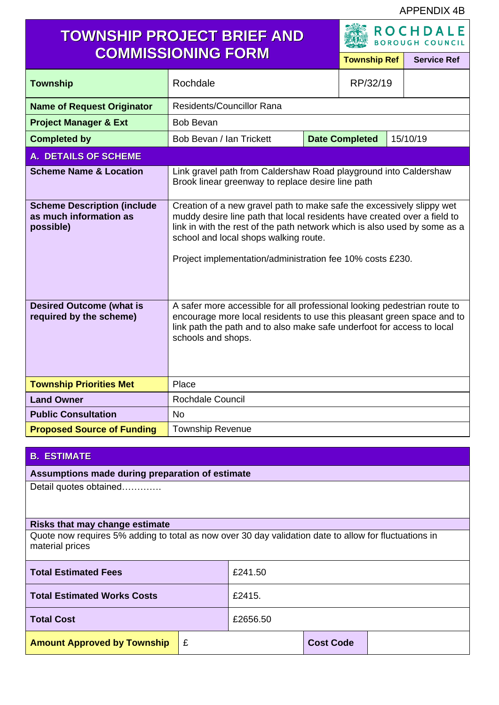APPENDIX 4B

# **TOWNSHIP PROJECT BRIEF AND COMMISSIONING FORM Township Ref Service Ref**

**ROCHDALE BOROUGH COUNCIL** 

| <u>UNINIU PININU PUNINU</u>                                               |                                                                                                                                                                                                                                                                                                                                      | <b>Township Ref</b> |  | <b>Service Ref</b> |  |
|---------------------------------------------------------------------------|--------------------------------------------------------------------------------------------------------------------------------------------------------------------------------------------------------------------------------------------------------------------------------------------------------------------------------------|---------------------|--|--------------------|--|
| <b>Township</b>                                                           | Rochdale                                                                                                                                                                                                                                                                                                                             | RP/32/19            |  |                    |  |
| <b>Name of Request Originator</b>                                         | Residents/Councillor Rana                                                                                                                                                                                                                                                                                                            |                     |  |                    |  |
| <b>Project Manager &amp; Ext</b>                                          | <b>Bob Bevan</b>                                                                                                                                                                                                                                                                                                                     |                     |  |                    |  |
| <b>Completed by</b>                                                       | <b>Date Completed</b><br>15/10/19<br>Bob Bevan / Ian Trickett                                                                                                                                                                                                                                                                        |                     |  |                    |  |
| <b>A. DETAILS OF SCHEME</b>                                               |                                                                                                                                                                                                                                                                                                                                      |                     |  |                    |  |
| <b>Scheme Name &amp; Location</b>                                         | Link gravel path from Caldershaw Road playground into Caldershaw<br>Brook linear greenway to replace desire line path                                                                                                                                                                                                                |                     |  |                    |  |
| <b>Scheme Description (include</b><br>as much information as<br>possible) | Creation of a new gravel path to make safe the excessively slippy wet<br>muddy desire line path that local residents have created over a field to<br>link in with the rest of the path network which is also used by some as a<br>school and local shops walking route.<br>Project implementation/administration fee 10% costs £230. |                     |  |                    |  |
| <b>Desired Outcome (what is</b><br>required by the scheme)                | A safer more accessible for all professional looking pedestrian route to<br>encourage more local residents to use this pleasant green space and to<br>link path the path and to also make safe underfoot for access to local<br>schools and shops.                                                                                   |                     |  |                    |  |
| <b>Township Priorities Met</b>                                            | Place                                                                                                                                                                                                                                                                                                                                |                     |  |                    |  |
| <b>Land Owner</b>                                                         | <b>Rochdale Council</b>                                                                                                                                                                                                                                                                                                              |                     |  |                    |  |
| <b>Public Consultation</b>                                                | <b>No</b>                                                                                                                                                                                                                                                                                                                            |                     |  |                    |  |
| <b>Proposed Source of Funding</b>                                         | <b>Township Revenue</b>                                                                                                                                                                                                                                                                                                              |                     |  |                    |  |

#### **B. ESTIMATE**

### **Assumptions made during preparation of estimate**

Detail quotes obtained………….

#### **Risks that may change estimate**

Quote now requires 5% adding to total as now over 30 day validation date to allow for fluctuations in material prices

| <b>Total Estimated Fees</b>        |    | £241.50  |                  |  |  |
|------------------------------------|----|----------|------------------|--|--|
| Total Estimated Works Costs        |    | £2415.   |                  |  |  |
| <b>Total Cost</b>                  |    | £2656.50 |                  |  |  |
| <b>Amount Approved by Township</b> | ∣£ |          | <b>Cost Code</b> |  |  |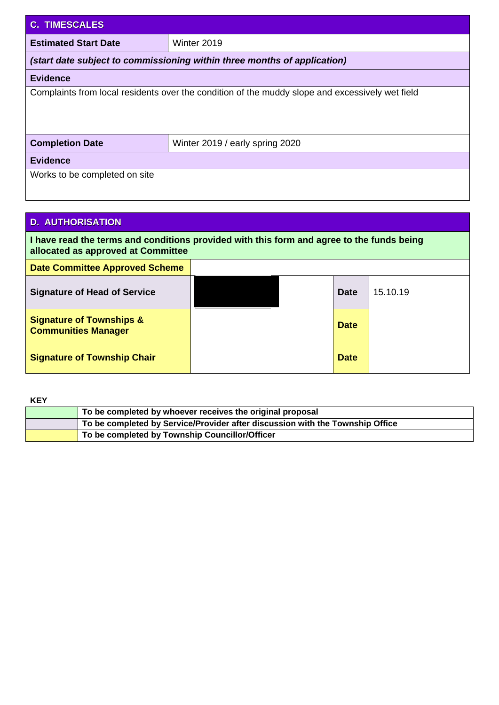| <b>C. TIMESCALES</b>                                                                            |                                 |  |  |
|-------------------------------------------------------------------------------------------------|---------------------------------|--|--|
| <b>Estimated Start Date</b>                                                                     | Winter 2019                     |  |  |
| (start date subject to commissioning within three months of application)                        |                                 |  |  |
| <b>Evidence</b>                                                                                 |                                 |  |  |
| Complaints from local residents over the condition of the muddy slope and excessively wet field |                                 |  |  |
| <b>Completion Date</b>                                                                          | Winter 2019 / early spring 2020 |  |  |
| <b>Evidence</b>                                                                                 |                                 |  |  |
| Works to be completed on site                                                                   |                                 |  |  |

## **D. AUTHORISATION**

**I have read the terms and conditions provided with this form and agree to the funds being allocated as approved at Committee**

| <b>Date Committee Approved Scheme</b>                             |  |             |          |
|-------------------------------------------------------------------|--|-------------|----------|
| <b>Signature of Head of Service</b>                               |  | <b>Date</b> | 15.10.19 |
| <b>Signature of Townships &amp;</b><br><b>Communities Manager</b> |  | <b>Date</b> |          |
| <b>Signature of Township Chair</b>                                |  | <b>Date</b> |          |

**KEY**

| To be completed by whoever receives the original proposal                     |
|-------------------------------------------------------------------------------|
| To be completed by Service/Provider after discussion with the Township Office |
| To be completed by Township Councillor/Officer                                |